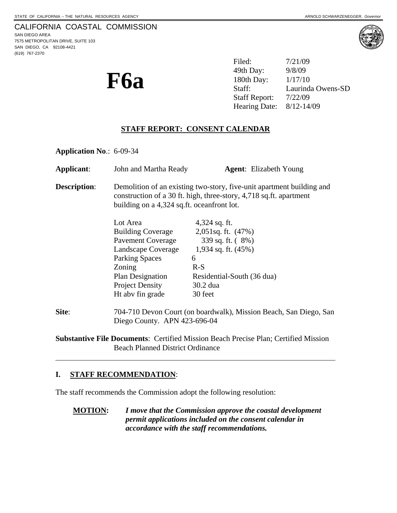(619) 767-2370



**F6a** <sup>49th Day: 9/8/09<br>
<sup>180th Day: 1/17/10</sup><br>
Staff: Laurind</sup> Filed: 7/21/09 49th Day: Laurinda Owens-SD Staff Report: 7/22/09 Hearing Date: 8/12-14/09

## **STAFF REPORT: CONSENT CALENDAR**

**Application No**.: 6-09-34

| Applicant:                                                                                 | John and Martha Ready                                                                                                                                                                     | <b>Agent:</b> Elizabeth Young |
|--------------------------------------------------------------------------------------------|-------------------------------------------------------------------------------------------------------------------------------------------------------------------------------------------|-------------------------------|
| <b>Description:</b>                                                                        | Demolition of an existing two-story, five-unit apartment building and<br>construction of a 30 ft. high, three-story, 4,718 sq.ft. apartment<br>building on a 4,324 sq.ft. oceanfront lot. |                               |
|                                                                                            | Lot Area                                                                                                                                                                                  | $4,324$ sq. ft.               |
|                                                                                            | <b>Building Coverage</b>                                                                                                                                                                  | 2,051sq. ft. $(47%)$          |
|                                                                                            | Pavement Coverage                                                                                                                                                                         | 339 sq. ft. (8%)              |
|                                                                                            | Landscape Coverage                                                                                                                                                                        | 1,934 sq. ft. $(45\%)$        |
|                                                                                            | <b>Parking Spaces</b>                                                                                                                                                                     | 6                             |
|                                                                                            | Zoning                                                                                                                                                                                    | $R-S$                         |
|                                                                                            | Plan Designation                                                                                                                                                                          | Residential-South (36 dua)    |
|                                                                                            | <b>Project Density</b>                                                                                                                                                                    | 30.2 dua                      |
|                                                                                            | Ht abv fin grade                                                                                                                                                                          | 30 feet                       |
| Site:                                                                                      | 704-710 Devon Court (on boardwalk), Mission Beach, San Diego, San<br>Diego County. APN 423-696-04                                                                                         |                               |
| <b>Substantive File Documents: Certified Mission Beach Precise Plan; Certified Mission</b> |                                                                                                                                                                                           |                               |

Beach Planned District Ordinance

# **I. STAFF RECOMMENDATION**:

 $\overline{a}$ 

The staff recommends the Commission adopt the following resolution:

**MOTION:** *I move that the Commission approve the coastal development permit applications included on the consent calendar in accordance with the staff recommendations.*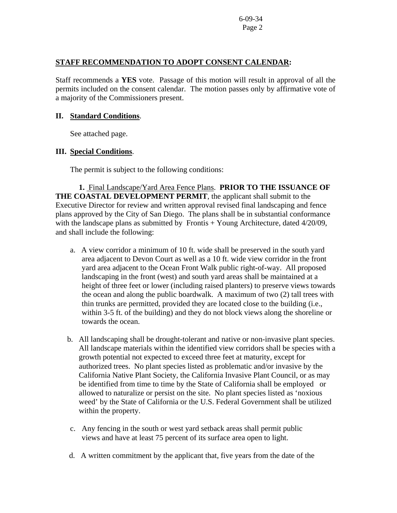### **STAFF RECOMMENDATION TO ADOPT CONSENT CALENDAR:**

Staff recommends a **YES** vote. Passage of this motion will result in approval of all the permits included on the consent calendar. The motion passes only by affirmative vote of a majority of the Commissioners present.

#### **II. Standard Conditions**.

See attached page.

### **III. Special Conditions**.

The permit is subject to the following conditions:

 **1.** Final Landscape/Yard Area Fence Plans. **PRIOR TO THE ISSUANCE OF THE COASTAL DEVELOPMENT PERMIT**, the applicant shall submit to the Executive Director for review and written approval revised final landscaping and fence plans approved by the City of San Diego. The plans shall be in substantial conformance with the landscape plans as submitted by Frontis + Young Architecture, dated 4/20/09, and shall include the following:

- a. A view corridor a minimum of 10 ft. wide shall be preserved in the south yard area adjacent to Devon Court as well as a 10 ft. wide view corridor in the front yard area adjacent to the Ocean Front Walk public right-of-way. All proposed landscaping in the front (west) and south yard areas shall be maintained at a height of three feet or lower (including raised planters) to preserve views towards the ocean and along the public boardwalk. A maximum of two (2) tall trees with thin trunks are permitted, provided they are located close to the building (i.e., within 3-5 ft. of the building) and they do not block views along the shoreline or towards the ocean.
- b. All landscaping shall be drought-tolerant and native or non-invasive plant species. All landscape materials within the identified view corridors shall be species with a growth potential not expected to exceed three feet at maturity, except for authorized trees. No plant species listed as problematic and/or invasive by the California Native Plant Society, the California Invasive Plant Council, or as may be identified from time to time by the State of California shall be employed or allowed to naturalize or persist on the site. No plant species listed as 'noxious weed' by the State of California or the U.S. Federal Government shall be utilized within the property.
- c. Any fencing in the south or west yard setback areas shall permit public views and have at least 75 percent of its surface area open to light.
- d. A written commitment by the applicant that, five years from the date of the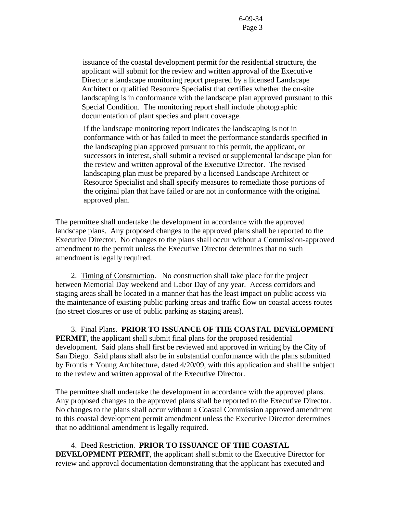issuance of the coastal development permit for the residential structure, the applicant will submit for the review and written approval of the Executive Director a landscape monitoring report prepared by a licensed Landscape Architect or qualified Resource Specialist that certifies whether the on-site landscaping is in conformance with the landscape plan approved pursuant to this Special Condition. The monitoring report shall include photographic documentation of plant species and plant coverage.

If the landscape monitoring report indicates the landscaping is not in conformance with or has failed to meet the performance standards specified in the landscaping plan approved pursuant to this permit, the applicant, or successors in interest, shall submit a revised or supplemental landscape plan for the review and written approval of the Executive Director. The revised landscaping plan must be prepared by a licensed Landscape Architect or Resource Specialist and shall specify measures to remediate those portions of the original plan that have failed or are not in conformance with the original approved plan.

The permittee shall undertake the development in accordance with the approved landscape plans. Any proposed changes to the approved plans shall be reported to the Executive Director. No changes to the plans shall occur without a Commission-approved amendment to the permit unless the Executive Director determines that no such amendment is legally required.

 2. Timing of Construction.No construction shall take place for the project between Memorial Day weekend and Labor Day of any year. Access corridors and staging areas shall be located in a manner that has the least impact on public access via the maintenance of existing public parking areas and traffic flow on coastal access routes (no street closures or use of public parking as staging areas).

 3. Final Plans. **PRIOR TO ISSUANCE OF THE COASTAL DEVELOPMENT PERMIT**, the applicant shall submit final plans for the proposed residential development. Said plans shall first be reviewed and approved in writing by the City of San Diego. Said plans shall also be in substantial conformance with the plans submitted by Frontis + Young Architecture, dated 4/20/09, with this application and shall be subject to the review and written approval of the Executive Director.

The permittee shall undertake the development in accordance with the approved plans. Any proposed changes to the approved plans shall be reported to the Executive Director. No changes to the plans shall occur without a Coastal Commission approved amendment to this coastal development permit amendment unless the Executive Director determines that no additional amendment is legally required.

4.Deed Restriction. **PRIOR TO ISSUANCE OF THE COASTAL** 

**DEVELOPMENT PERMIT**, the applicant shall submit to the Executive Director for review and approval documentation demonstrating that the applicant has executed and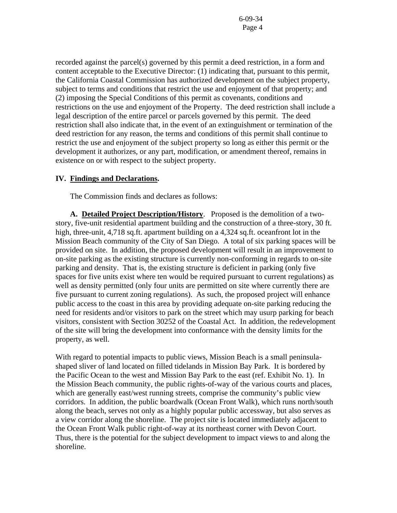recorded against the parcel(s) governed by this permit a deed restriction, in a form and content acceptable to the Executive Director: (1) indicating that, pursuant to this permit, the California Coastal Commission has authorized development on the subject property, subject to terms and conditions that restrict the use and enjoyment of that property; and (2) imposing the Special Conditions of this permit as covenants, conditions and restrictions on the use and enjoyment of the Property. The deed restriction shall include a legal description of the entire parcel or parcels governed by this permit. The deed restriction shall also indicate that, in the event of an extinguishment or termination of the deed restriction for any reason, the terms and conditions of this permit shall continue to restrict the use and enjoyment of the subject property so long as either this permit or the development it authorizes, or any part, modification, or amendment thereof, remains in existence on or with respect to the subject property.

#### **IV. Findings and Declarations.**

The Commission finds and declares as follows:

**A. Detailed Project Description/History**. Proposed is the demolition of a twostory, five-unit residential apartment building and the construction of a three-story, 30 ft. high, three-unit, 4,718 sq.ft. apartment building on a 4,324 sq.ft. oceanfront lot in the Mission Beach community of the City of San Diego. A total of six parking spaces will be provided on site. In addition, the proposed development will result in an improvement to on-site parking as the existing structure is currently non-conforming in regards to on-site parking and density. That is, the existing structure is deficient in parking (only five spaces for five units exist where ten would be required pursuant to current regulations) as well as density permitted (only four units are permitted on site where currently there are five pursuant to current zoning regulations). As such, the proposed project will enhance public access to the coast in this area by providing adequate on-site parking reducing the need for residents and/or visitors to park on the street which may usurp parking for beach visitors, consistent with Section 30252 of the Coastal Act. In addition, the redevelopment of the site will bring the development into conformance with the density limits for the property, as well.

With regard to potential impacts to public views, Mission Beach is a small peninsulashaped sliver of land located on filled tidelands in Mission Bay Park. It is bordered by the Pacific Ocean to the west and Mission Bay Park to the east (ref. Exhibit No. 1). In the Mission Beach community, the public rights-of-way of the various courts and places, which are generally east/west running streets, comprise the community's public view corridors. In addition, the public boardwalk (Ocean Front Walk), which runs north/south along the beach, serves not only as a highly popular public accessway, but also serves as a view corridor along the shoreline. The project site is located immediately adjacent to the Ocean Front Walk public right-of-way at its northeast corner with Devon Court. Thus, there is the potential for the subject development to impact views to and along the shoreline.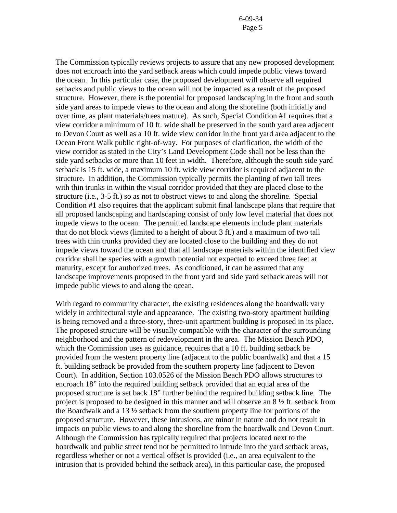The Commission typically reviews projects to assure that any new proposed development does not encroach into the yard setback areas which could impede public views toward the ocean. In this particular case, the proposed development will observe all required setbacks and public views to the ocean will not be impacted as a result of the proposed structure. However, there is the potential for proposed landscaping in the front and south side yard areas to impede views to the ocean and along the shoreline (both initially and over time, as plant materials/trees mature). As such, Special Condition #1 requires that a view corridor a minimum of 10 ft. wide shall be preserved in the south yard area adjacent to Devon Court as well as a 10 ft. wide view corridor in the front yard area adjacent to the Ocean Front Walk public right-of-way. For purposes of clarification, the width of the view corridor as stated in the City's Land Development Code shall not be less than the side yard setbacks or more than 10 feet in width. Therefore, although the south side yard setback is 15 ft. wide, a maximum 10 ft. wide view corridor is required adjacent to the structure. In addition, the Commission typically permits the planting of two tall trees with thin trunks in within the visual corridor provided that they are placed close to the structure (i.e., 3-5 ft.) so as not to obstruct views to and along the shoreline. Special Condition #1 also requires that the applicant submit final landscape plans that require that all proposed landscaping and hardscaping consist of only low level material that does not impede views to the ocean. The permitted landscape elements include plant materials that do not block views (limited to a height of about 3 ft.) and a maximum of two tall trees with thin trunks provided they are located close to the building and they do not impede views toward the ocean and that all landscape materials within the identified view corridor shall be species with a growth potential not expected to exceed three feet at maturity, except for authorized trees. As conditioned, it can be assured that any landscape improvements proposed in the front yard and side yard setback areas will not impede public views to and along the ocean.

With regard to community character, the existing residences along the boardwalk vary widely in architectural style and appearance. The existing two-story apartment building is being removed and a three-story, three-unit apartment building is proposed in its place. The proposed structure will be visually compatible with the character of the surrounding neighborhood and the pattern of redevelopment in the area. The Mission Beach PDO, which the Commission uses as guidance, requires that a 10 ft. building setback be provided from the western property line (adjacent to the public boardwalk) and that a 15 ft. building setback be provided from the southern property line (adjacent to Devon Court). In addition, Section 103.0526 of the Mission Beach PDO allows structures to encroach 18" into the required building setback provided that an equal area of the proposed structure is set back 18" further behind the required building setback line. The project is proposed to be designed in this manner and will observe an 8 ½ ft. setback from the Boardwalk and a 13 ½ setback from the southern property line for portions of the proposed structure. However, these intrusions, are minor in nature and do not result in impacts on public views to and along the shoreline from the boardwalk and Devon Court. Although the Commission has typically required that projects located next to the boardwalk and public street tend not be permitted to intrude into the yard setback areas, regardless whether or not a vertical offset is provided (i.e., an area equivalent to the intrusion that is provided behind the setback area), in this particular case, the proposed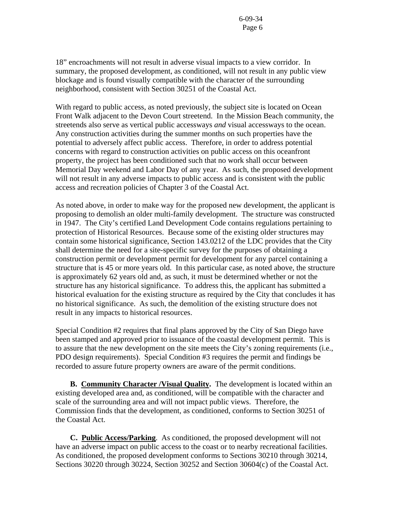18" encroachments will not result in adverse visual impacts to a view corridor. In summary, the proposed development, as conditioned, will not result in any public view blockage and is found visually compatible with the character of the surrounding neighborhood, consistent with Section 30251 of the Coastal Act.

With regard to public access, as noted previously, the subject site is located on Ocean Front Walk adjacent to the Devon Court streetend. In the Mission Beach community, the streetends also serve as vertical public accessways *and* visual accessways to the ocean. Any construction activities during the summer months on such properties have the potential to adversely affect public access. Therefore, in order to address potential concerns with regard to construction activities on public access on this oceanfront property, the project has been conditioned such that no work shall occur between Memorial Day weekend and Labor Day of any year. As such, the proposed development will not result in any adverse impacts to public access and is consistent with the public access and recreation policies of Chapter 3 of the Coastal Act.

As noted above, in order to make way for the proposed new development, the applicant is proposing to demolish an older multi-family development. The structure was constructed in 1947. The City's certified Land Development Code contains regulations pertaining to protection of Historical Resources. Because some of the existing older structures may contain some historical significance, Section 143.0212 of the LDC provides that the City shall determine the need for a site-specific survey for the purposes of obtaining a construction permit or development permit for development for any parcel containing a structure that is 45 or more years old. In this particular case, as noted above, the structure is approximately 62 years old and, as such, it must be determined whether or not the structure has any historical significance. To address this, the applicant has submitted a historical evaluation for the existing structure as required by the City that concludes it has no historical significance. As such, the demolition of the existing structure does not result in any impacts to historical resources.

Special Condition #2 requires that final plans approved by the City of San Diego have been stamped and approved prior to issuance of the coastal development permit. This is to assure that the new development on the site meets the City's zoning requirements (i.e., PDO design requirements). Special Condition #3 requires the permit and findings be recorded to assure future property owners are aware of the permit conditions.

 **B. Community Character /Visual Quality.** The development is located within an existing developed area and, as conditioned, will be compatible with the character and scale of the surrounding area and will not impact public views. Therefore, the Commission finds that the development, as conditioned, conforms to Section 30251 of the Coastal Act.

**C. Public Access/Parking**. As conditioned, the proposed development will not have an adverse impact on public access to the coast or to nearby recreational facilities. As conditioned, the proposed development conforms to Sections 30210 through 30214, Sections 30220 through 30224, Section 30252 and Section 30604(c) of the Coastal Act.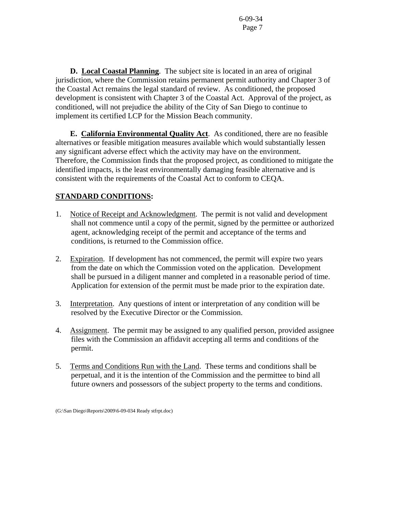**D. Local Coastal Planning**. The subject site is located in an area of original jurisdiction, where the Commission retains permanent permit authority and Chapter 3 of the Coastal Act remains the legal standard of review. As conditioned, the proposed development is consistent with Chapter 3 of the Coastal Act. Approval of the project, as conditioned, will not prejudice the ability of the City of San Diego to continue to implement its certified LCP for the Mission Beach community.

 **E. California Environmental Quality Act**. As conditioned, there are no feasible alternatives or feasible mitigation measures available which would substantially lessen any significant adverse effect which the activity may have on the environment. Therefore, the Commission finds that the proposed project, as conditioned to mitigate the identified impacts, is the least environmentally damaging feasible alternative and is consistent with the requirements of the Coastal Act to conform to CEQA.

# **STANDARD CONDITIONS:**

- 1. Notice of Receipt and Acknowledgment. The permit is not valid and development shall not commence until a copy of the permit, signed by the permittee or authorized agent, acknowledging receipt of the permit and acceptance of the terms and conditions, is returned to the Commission office.
- 2. Expiration. If development has not commenced, the permit will expire two years from the date on which the Commission voted on the application. Development shall be pursued in a diligent manner and completed in a reasonable period of time. Application for extension of the permit must be made prior to the expiration date.
- 3. Interpretation. Any questions of intent or interpretation of any condition will be resolved by the Executive Director or the Commission.
- 4. Assignment. The permit may be assigned to any qualified person, provided assignee files with the Commission an affidavit accepting all terms and conditions of the permit.
- 5. Terms and Conditions Run with the Land. These terms and conditions shall be perpetual, and it is the intention of the Commission and the permittee to bind all future owners and possessors of the subject property to the terms and conditions.

<sup>(</sup>G:\San Diego\Reports\2009\6-09-034 Ready stfrpt.doc)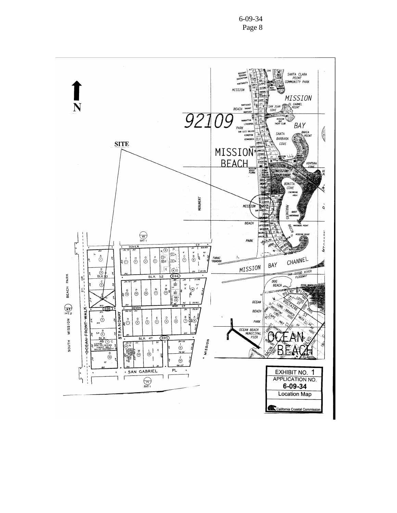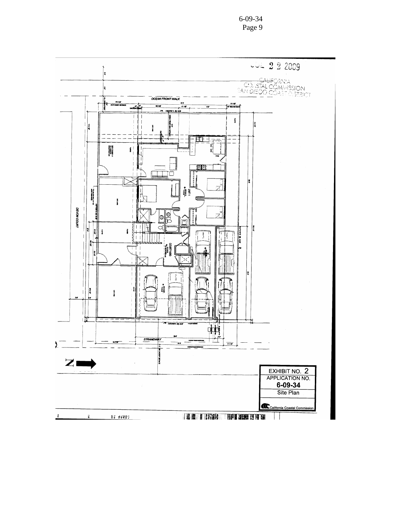